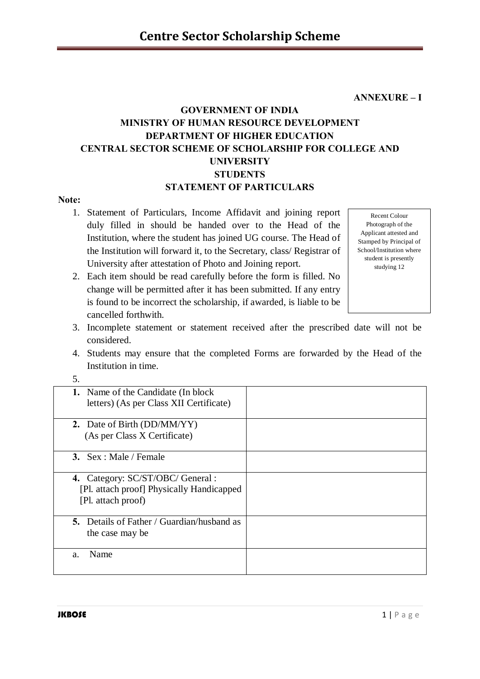**ANNEXURE – I** 

# **GOVERNMENT OF INDIA MINISTRY OF HUMAN RESOURCE DEVELOPMENT DEPARTMENT OF HIGHER EDUCATION CENTRAL SECTOR SCHEME OF SCHOLARSHIP FOR COLLEGE AND UNIVERSITY STUDENTS STATEMENT OF PARTICULARS**

#### **Note:**

1. Statement of Particulars, Income Affidavit and joining report duly filled in should be handed over to the Head of the Institution, where the student has joined UG course. The Head of the Institution will forward it, to the Secretary, class/ Registrar of University after attestation of Photo and Joining report.

Recent Colour Photograph of the Applicant attested and Stamped by Principal of School/Institution where student is presently studying 12

- 2. Each item should be read carefully before the form is filled. No change will be permitted after it has been submitted. If any entry is found to be incorrect the scholarship, if awarded, is liable to be cancelled forthwith.
- 3. Incomplete statement or statement received after the prescribed date will not be considered.
- 4. Students may ensure that the completed Forms are forwarded by the Head of the Institution in time.

| ັ                                                                              |  |
|--------------------------------------------------------------------------------|--|
| 1. Name of the Candidate (In block)<br>letters) (As per Class XII Certificate) |  |
| 2. Date of Birth (DD/MM/YY)                                                    |  |
| (As per Class X Certificate)                                                   |  |
| 3. $Sex : Male / Female$                                                       |  |
| 4. Category: SC/ST/OBC/ General :                                              |  |
| [Pl. attach proof] Physically Handicapped                                      |  |
| [Pl. attach proof)                                                             |  |
| <b>5.</b> Details of Father / Guardian/husband as                              |  |
| the case may be                                                                |  |
| Name                                                                           |  |
| a.                                                                             |  |
|                                                                                |  |

5.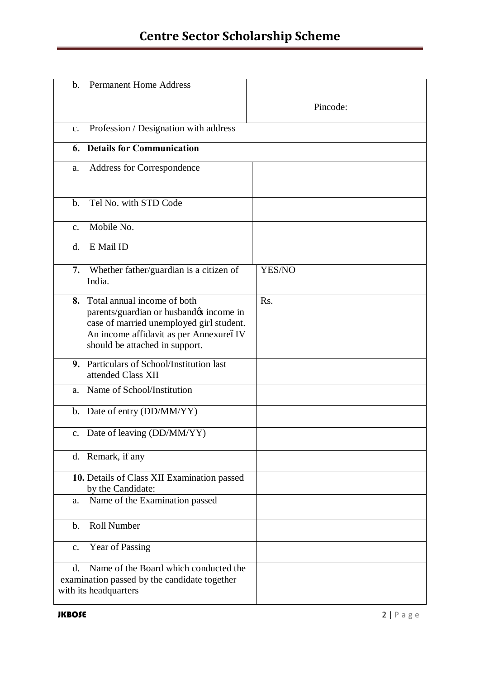# **Centre Sector Scholarship Scheme**

| <b>Permanent Home Address</b><br>b.                                                                                                                                                               |          |
|---------------------------------------------------------------------------------------------------------------------------------------------------------------------------------------------------|----------|
|                                                                                                                                                                                                   | Pincode: |
| Profession / Designation with address<br>$\mathbf{c}$ .                                                                                                                                           |          |
| <b>Details for Communication</b><br>6.                                                                                                                                                            |          |
| Address for Correspondence<br>a.                                                                                                                                                                  |          |
| Tel No. with STD Code<br>$b$                                                                                                                                                                      |          |
| Mobile No.<br>$\mathbf{c}$ .                                                                                                                                                                      |          |
| E Mail ID<br>$\mathbf{d}$ .                                                                                                                                                                       |          |
| Whether father/guardian is a citizen of<br>7.<br>India.                                                                                                                                           | YES/NO   |
| 8. Total annual income of both<br>parents/guardian or husbandøs income in<br>case of married unemployed girl student.<br>An income affidavit as per AnnexureóIV<br>should be attached in support. | Rs.      |
| 9. Particulars of School/Institution last<br>attended Class XII                                                                                                                                   |          |
| Name of School/Institution<br>a.                                                                                                                                                                  |          |
| b. Date of entry (DD/MM/YY)                                                                                                                                                                       |          |
| c. Date of leaving (DD/MM/YY)                                                                                                                                                                     |          |
| d. Remark, if any                                                                                                                                                                                 |          |
| 10. Details of Class XII Examination passed<br>by the Candidate:                                                                                                                                  |          |
| Name of the Examination passed<br>a.                                                                                                                                                              |          |
| <b>Roll Number</b><br>$\mathbf{b}$ .                                                                                                                                                              |          |
| Year of Passing<br>$\mathbf{c}$ .                                                                                                                                                                 |          |
| Name of the Board which conducted the<br>$d_{\cdot}$<br>examination passed by the candidate together<br>with its headquarters                                                                     |          |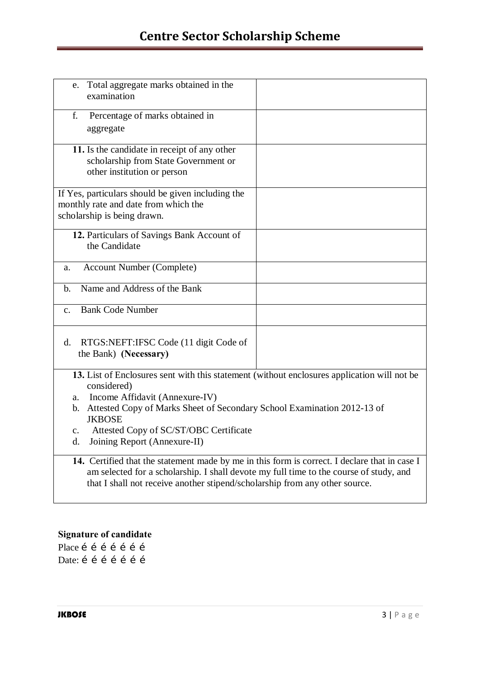# **Centre Sector Scholarship Scheme**

| e. Total aggregate marks obtained in the<br>examination                                                                                                                                                                                                                                                                                          |  |
|--------------------------------------------------------------------------------------------------------------------------------------------------------------------------------------------------------------------------------------------------------------------------------------------------------------------------------------------------|--|
| Percentage of marks obtained in<br>f.<br>aggregate                                                                                                                                                                                                                                                                                               |  |
| 11. Is the candidate in receipt of any other<br>scholarship from State Government or<br>other institution or person                                                                                                                                                                                                                              |  |
| If Yes, particulars should be given including the<br>monthly rate and date from which the<br>scholarship is being drawn.                                                                                                                                                                                                                         |  |
| 12. Particulars of Savings Bank Account of<br>the Candidate                                                                                                                                                                                                                                                                                      |  |
| <b>Account Number (Complete)</b><br>a.                                                                                                                                                                                                                                                                                                           |  |
| Name and Address of the Bank<br>b.                                                                                                                                                                                                                                                                                                               |  |
| <b>Bank Code Number</b><br>$C_{-}$                                                                                                                                                                                                                                                                                                               |  |
| RTGS:NEFT:IFSC Code (11 digit Code of<br>d.<br>the Bank) (Necessary)                                                                                                                                                                                                                                                                             |  |
| 13. List of Enclosures sent with this statement (without enclosures application will not be<br>considered)<br>a. Income Affidavit (Annexure-IV)<br>b. Attested Copy of Marks Sheet of Secondary School Examination 2012-13 of<br><b>JKBOSE</b><br>Attested Copy of SC/ST/OBC Certificate<br>$\mathbf{c}$ .<br>Joining Report (Annexure-II)<br>d. |  |
| 14. Certified that the statement made by me in this form is correct. I declare that in case I<br>am selected for a scholarship. I shall devote my full time to the course of study, and<br>that I shall not receive another stipend/scholarship from any other source.                                                                           |  |

## **Signature of candidate**

Place í í í í í í í Date: í í í í í í í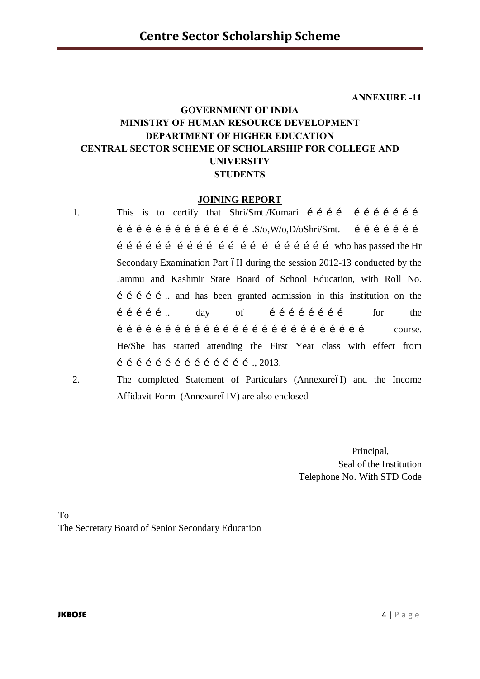**ANNEXURE -11**

# **GOVERNMENT OF INDIA MINISTRY OF HUMAN RESOURCE DEVELOPMENT DEPARTMENT OF HIGHER EDUCATION CENTRAL SECTOR SCHEME OF SCHOLARSHIP FOR COLLEGE AND UNIVERSITY STUDENTS**

#### **JOINING REPORT**

- 1. This is to certify that Shri/Smt./Kumari í í í í í í í í í í í  $i$  i i i i i i i i i i i i i i i  $S/O, W/O, D/OShri/Smt.$  i i i i i i i i  $\hat{i}$   $\hat{i}$   $\hat{j}$   $\hat{j}$   $\hat{i}$   $\hat{j}$   $\hat{i}$   $\hat{j}$   $\hat{i}$   $\hat{j}$   $\hat{i}$   $\hat{j}$   $\hat{i}$   $\hat{j}$   $\hat{j}$   $\hat{j}$   $\hat{i}$   $\hat{k}$   $\hat{k}$   $\hat{k}$   $\hat{k}$   $\hat{k}$   $\hat{k}$   $\hat{k}$   $\hat{k}$   $\hat{k}$   $\hat{k}$   $\hat{k}$   $\hat{k}$   $\hat{k}$   $\hat{k}$   $\hat{k$ Secondary Examination Part 6II during the session 2012-13 conducted by the Jammu and Kashmir State Board of School Education, with Roll No.  $i$  i i i i  $\ldots$  and has been granted admission in this institution on the …………….. day of …………………… for the  $\hat{i}$   $\hat{i}$   $\hat{j}$   $\hat{j}$   $\hat{i}$   $\hat{j}$   $\hat{i}$   $\hat{j}$   $\hat{i}$   $\hat{j}$   $\hat{i}$   $\hat{j}$   $\hat{i}$   $\hat{j}$   $\hat{j}$   $\hat{j}$   $\hat{i}$   $\hat{j}$   $\hat{j}$   $\hat{j}$   $\hat{j}$   $\hat{j}$   $\hat{k}$   $\hat{j}$   $\hat{k}$   $\hat{k}$   $\hat{k}$   $\hat{k}$   $\hat{k}$   $\hat{k}$   $\hat{k}$   $\hat{k$ He/She has started attending the First Year class with effect from  $1$  i i i i i i i i i i i i i  $1$  ... 2013.
- 2. The completed Statement of Particulars (AnnexureóI) and the Income Affidavit Form (AnnexureóIV) are also enclosed

Principal, Seal of the Institution Telephone No. With STD Code

To The Secretary Board of Senior Secondary Education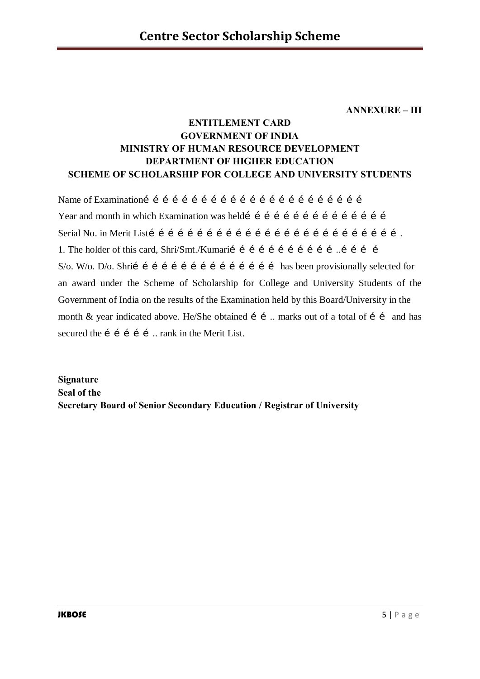**ANNEXURE – III**

# **ENTITLEMENT CARD GOVERNMENT OF INDIA MINISTRY OF HUMAN RESOURCE DEVELOPMENT DEPARTMENT OF HIGHER EDUCATION SCHEME OF SCHOLARSHIP FOR COLLEGE AND UNIVERSITY STUDENTS**

Name of Examination…………………………………………………………… Year and month in which Examination was heldi i i i i i i i i i i i i i i i i i i Serial No. in Merit List……………………………………………………………………. 1. The holder of this card, Shri/Smt./Kumarií í í í í í í í í í í í... í í í í í í S/o. W/o. D/o. Shri……………………………………… has been provisionally selected for an award under the Scheme of Scholarship for College and University Students of the Government of India on the results of the Examination held by this Board/University in the month & year indicated above. He/She obtained  $i$  i ... marks out of a total of  $i$  i and has secured the  $i$  i i i i  $m$  rank in the Merit List.

**Signature Seal of the Secretary Board of Senior Secondary Education / Registrar of University**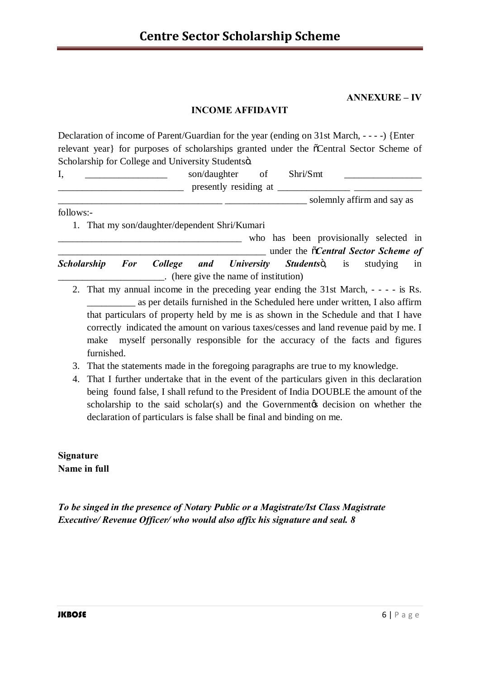**ANNEXURE – IV**

## **INCOME AFFIDAVIT**

Declaration of income of Parent/Guardian for the year (ending on 31st March, - - - -) {Enter relevant year} for purposes of scholarships granted under the  $\tilde{o}$ Central Sector Scheme of Scholarship for College and University Studentsö.

| д, | son/daughter          | ΟÌ | Shri/Smt |                            |
|----|-----------------------|----|----------|----------------------------|
|    | presently residing at |    |          |                            |
|    |                       |    |          | solemnly affirm and say as |

follows:-

1. That my son/daughter/dependent Shri/Kumari

who has been provisionally selected in \_\_\_\_\_\_\_\_\_\_\_\_\_\_\_\_\_\_\_\_\_\_\_\_\_\_\_\_\_\_\_\_\_\_\_\_\_\_\_\_\_\_\_ under the "*Central Sector Scheme of*  **Scholarship For College and University Students** is studying in \_\_\_\_\_\_\_\_\_\_\_\_\_\_\_\_\_\_\_\_\_\_. (here give the name of institution)

- 2. That my annual income in the preceding year ending the 31st March, - - is Rs. \_\_\_\_\_\_\_\_\_\_ as per details furnished in the Scheduled here under written, I also affirm that particulars of property held by me is as shown in the Schedule and that I have correctly indicated the amount on various taxes/cesses and land revenue paid by me. I make myself personally responsible for the accuracy of the facts and figures furnished.
- 3. That the statements made in the foregoing paragraphs are true to my knowledge.
- 4. That I further undertake that in the event of the particulars given in this declaration being found false, I shall refund to the President of India DOUBLE the amount of the scholarship to the said scholar(s) and the Government  $\alpha$  decision on whether the declaration of particulars is false shall be final and binding on me.

**Signature Name in full** 

*To be singed in the presence of Notary Public or a Magistrate/Ist Class Magistrate Executive/ Revenue Officer/ who would also affix his signature and seal. 8*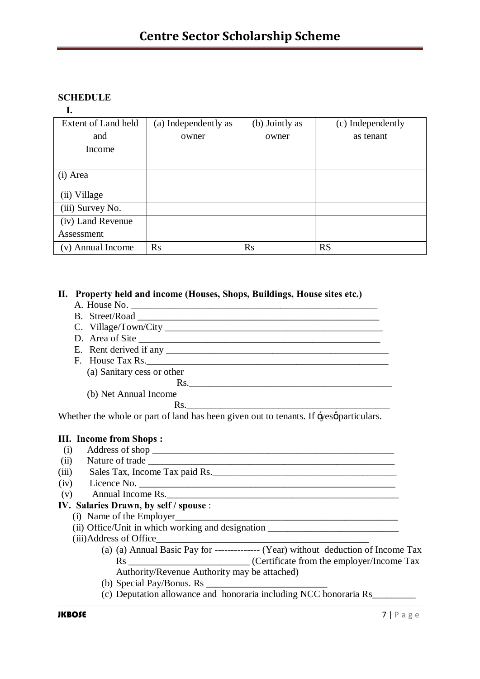# **SCHEDULE**

#### **I.**

| Extent of Land held | (a) Independently as | (b) Jointly as | (c) Independently |
|---------------------|----------------------|----------------|-------------------|
| and                 | owner                | owner          | as tenant         |
| Income              |                      |                |                   |
|                     |                      |                |                   |
| (i) Area            |                      |                |                   |
| (ii) Village        |                      |                |                   |
| (iii) Survey No.    |                      |                |                   |
| (iv) Land Revenue   |                      |                |                   |
| Assessment          |                      |                |                   |
| (v) Annual Income   | Rs                   | Rs             | <b>RS</b>         |

#### **II. Property held and income (Houses, Shops, Buildings, House sites etc.)**

- A. House No. \_\_\_\_\_\_\_\_\_\_\_\_\_\_\_\_\_\_\_\_\_\_\_\_\_\_\_\_\_\_\_\_\_\_\_\_\_\_\_\_\_\_\_\_\_\_\_\_\_\_\_
- B. Street/Road
- C. Village/Town/City
- D. Area of Site
- E. Rent derived if any
- F. House Tax Rs.\_\_\_\_\_\_\_\_\_\_\_\_\_\_\_\_\_\_\_\_\_\_\_\_\_\_\_\_\_\_\_\_\_\_\_\_\_\_\_\_\_\_\_\_\_\_\_\_\_\_
	- (a) Sanitary cess or other
		- Rs.\_\_\_\_\_\_\_\_\_\_\_\_\_\_\_\_\_\_\_\_\_\_\_\_\_\_\_\_\_\_\_\_\_\_\_\_\_\_\_\_\_\_
	- (b) Net Annual Income Rs.

Whether the whole or part of land has been given out to tenants. If  $\div$ yes $\varphi$  particulars.

### **III. Income from Shops :**

- (i) Address of shop  $\overline{\phantom{a}}$
- (ii) Nature of trade \_\_\_\_\_\_\_\_\_\_\_\_\_\_\_\_\_\_\_\_\_\_\_\_\_\_\_\_\_\_\_\_\_\_\_\_\_\_\_\_\_\_\_\_\_\_\_\_\_\_\_
- (iii) Sales Tax, Income Tax paid Rs.
- (iv) Licence No. \_\_\_\_\_\_\_\_\_\_\_\_\_\_\_\_\_\_\_\_\_\_\_\_\_\_\_\_\_\_\_\_\_\_\_\_\_\_\_\_\_\_\_\_\_\_\_\_\_\_\_\_\_
- $(v)$  Annual Income Rs.

#### **IV. Salaries Drawn, by self / spouse** :

- $(i)$  Name of the Employer
	- (i) Office/Unit in which working and designation  $\overline{\phantom{a}}$
	- (iii)Address of Office\_\_\_\_\_\_\_\_\_\_\_\_\_\_\_\_\_\_\_\_\_\_\_\_\_\_\_\_\_\_\_\_\_\_\_\_\_\_\_\_\_\_\_\_
		- (a) (a) Annual Basic Pay for -------------- (Year) without deduction of Income Tax Rs \_\_\_\_\_\_\_\_\_\_\_\_\_\_\_\_\_\_\_\_\_\_\_\_\_\_\_\_\_\_\_ (Certificate from the employer/Income Tax Authority/Revenue Authority may be attached)
		- (b) Special Pay/Bonus. Rs \_\_\_\_\_\_\_\_\_\_\_\_\_\_\_\_\_\_\_\_\_\_\_\_\_
		- (c) Deputation allowance and honoraria including NCC honoraria Rs\_\_\_\_\_\_\_\_\_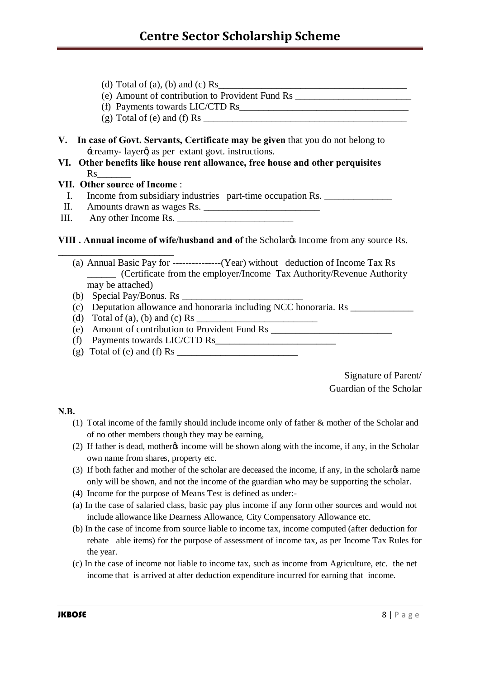- (d) Total of (a), (b) and (c) Rs
- (e) Amount of contribution to Provident Fund Rs \_\_\_\_\_\_\_\_\_\_\_\_\_\_\_\_\_\_\_\_\_\_\_\_
- (f) Payments towards LIC/CTD Rs\_\_\_\_\_\_\_\_\_\_\_\_\_\_\_\_\_\_\_\_\_\_\_\_\_\_\_\_\_\_\_\_\_\_\_
- $(g)$  Total of  $(e)$  and  $(f)$  Rs
- **V. In case of Govt. Servants, Certificate may be given** that you do not belong to -creamy- layerg as per extant govt. instructions.
- **VI. Other benefits like house rent allowance, free house and other perquisites**  Rs<sub>s</sub>

#### **VII. Other source of Income** :

\_\_\_\_\_\_\_\_\_\_\_\_\_\_\_\_\_\_\_\_\_\_\_\_

- I. Income from subsidiary industries part-time occupation Rs.
- II. Amounts drawn as wages Rs.
- III. Any other Income Rs.

**VIII** . Annual income of wife/husband and of the Scholar income from any source Rs.

- (a) Annual Basic Pay for ---------------(Year) without deduction of Income Tax Rs \_\_\_\_\_\_ (Certificate from the employer/Income Tax Authority/Revenue Authority may be attached)
- (b) Special Pay/Bonus. Rs
- (c) Deputation allowance and honoraria including NCC honoraria. Rs
- (d) Total of (a), (b) and (c) Rs
- (e) Amount of contribution to Provident Fund Rs \_\_\_\_\_\_\_\_\_\_\_\_\_\_\_\_\_\_\_\_\_\_\_\_\_
- (f) Payments towards  $LIC/CTD$  Rs
- (g) Total of (e) and (f) Rs  $\overline{\phantom{a}}$

Signature of Parent/ Guardian of the Scholar

#### **N.B.**

- (1) Total income of the family should include income only of father & mother of the Scholar and of no other members though they may be earning,
- (2) If father is dead, mother is income will be shown along with the income, if any, in the Scholar own name from shares, property etc.
- (3) If both father and mother of the scholar are deceased the income, if any, in the scholar  $\alpha$  name only will be shown, and not the income of the guardian who may be supporting the scholar.
- (4) Income for the purpose of Means Test is defined as under:-
- (a) In the case of salaried class, basic pay plus income if any form other sources and would not include allowance like Dearness Allowance, City Compensatory Allowance etc.
- (b) In the case of income from source liable to income tax, income computed (after deduction for rebate able items) for the purpose of assessment of income tax, as per Income Tax Rules for the year.
- (c) In the case of income not liable to income tax, such as income from Agriculture, etc. the net income that is arrived at after deduction expenditure incurred for earning that income.